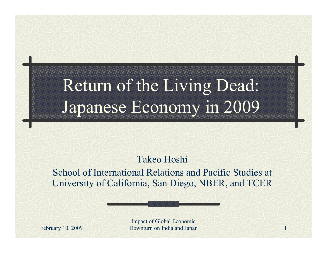## Return of the Living Dead: Japanese Economy in 2009

Takeo Hoshi

School of International Relations and Pacific Studies at University of California, San Diego, NBER, and TCER

February 10, 2009 **Downturn on India and Japan** 1 Impact of Global Economic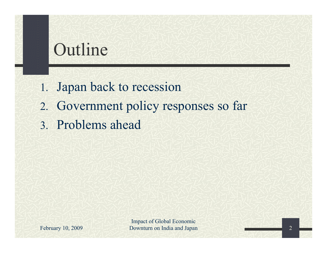## Outline

- 1. Japan back to recession
- 2. Government policy responses so far
- 3. Problems ahead

February 10, 2009

Impact of Global Economic Downturn on India and Japan 2

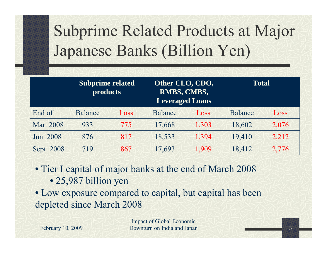# Subprime Related Products at Major Japanese Banks (Billion Yen)

|            | <b>Subprime related</b><br><b>products</b> |      | Other CLO, CDO,<br>RMBS, CMBS,<br><b>Leveraged Loans</b> |       | Total          |       |
|------------|--------------------------------------------|------|----------------------------------------------------------|-------|----------------|-------|
| End of     | <b>Balance</b>                             | Loss | <b>Balance</b>                                           | Loss  | <b>Balance</b> | Loss  |
| Mar. 2008  | 933                                        | 775  | 17,668                                                   | 1,303 | 18,602         | 2,076 |
| Jun. 2008  | 876                                        | 817  | 18,533                                                   | 1,394 | 19,410         | 2,212 |
| Sept. 2008 | 719                                        | 867  | 17,693                                                   | 1,909 | 18,412         | 2,776 |
|            |                                            |      |                                                          |       |                |       |

• Tier I capital of major banks at the end of March 2008

• 25,987 billion yen

• Low exposure compared to capital, but capital has been depleted since March 2008

February 10, 2009

Impact of Global Economic Downturn on India and Japan

3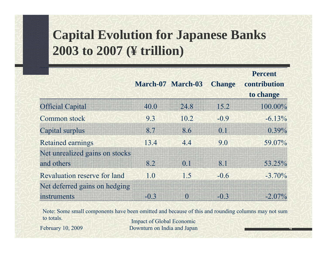#### **Capital Evolution for Japanese Banks 2003 to 2007 (¥ trillion)**

|                                |      | March-07 March-03                    | <b>Change</b> | <b>Percent</b><br>contribution<br>to change |
|--------------------------------|------|--------------------------------------|---------------|---------------------------------------------|
| <b>Official Capital</b>        | 40.0 | 24.8                                 | 15.2          | 100.00%                                     |
| Common stock                   | 9.3  | 10.2                                 | $-0.9$        | $-6.13\%$                                   |
| Capital surplus                | 87   | 86                                   | $\Omega$ 1    | $0.39\%$                                    |
| <b>Retained earnings</b>       | 13.4 | 4.4                                  | 9.0           | 59.07%                                      |
| Net unrealized gains on stocks |      |                                      |               |                                             |
| and others                     | 8.2  | $\begin{matrix} 0 \\ 1 \end{matrix}$ | 8.1           | $53.25\%$                                   |
| Revaluation reserve for land   | 1.0  | 1.5                                  | $-06$         | $-3.70\%$                                   |
| Net deferred gains on hedging  |      |                                      |               |                                             |
| instruments                    | EO B |                                      | $\Box$ $\Box$ |                                             |

Note: Some small components have been omitted and because of this and rounding columns may not sum to totals. Impact of Global Economic

February 10, 2009

Downturn on India and Japan

4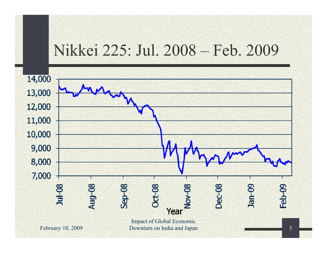#### Nikkei 225: Jul. 2008 – Feb. 2009

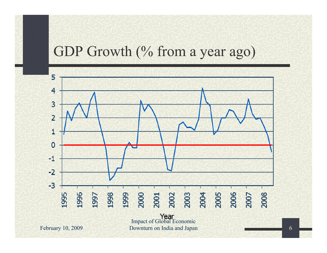#### GDP Growth (% from a year ago)

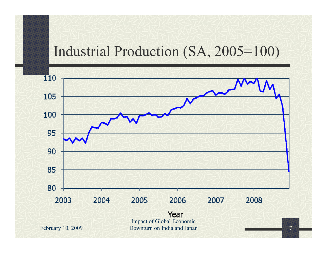#### Industrial Production (SA, 2005=100)

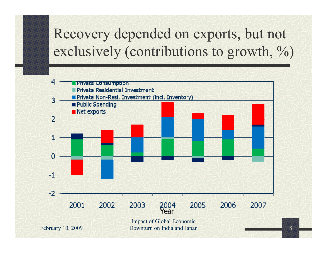#### Recovery depended on exports, but not exclusively (contributions to growth, %)

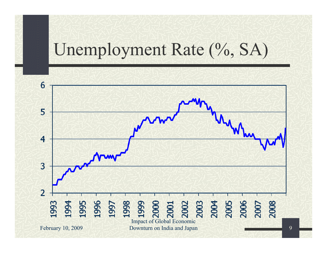## Unemployment Rate (%, SA)

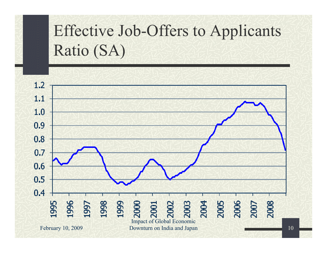# Effective Job-Offers to Applicants Ratio (SA)

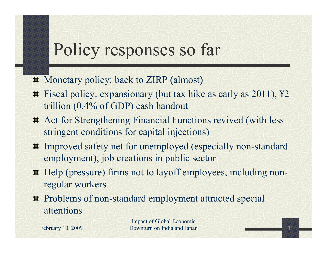## Policy responses so far

- Monetary policy: back to ZIRP (almost)
- Fiscal policy: expansionary (but tax hike as early as 2011), ¥2 trillion (0.4% of GDP) cash handout
- Act for Strengthening Financial Functions revived (with less stringent conditions for capital injections)
- Improved safety net for unemployed (especially non-standard employment), job creations in public sector
- Help (pressure) firms not to layoff employees, including nonregular workers
- Problems of non-standard employment attracted special attentions

Impact of Global Economic Downturn on India and Japan

February 10, 2009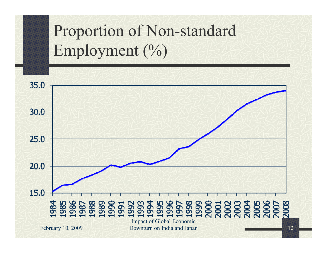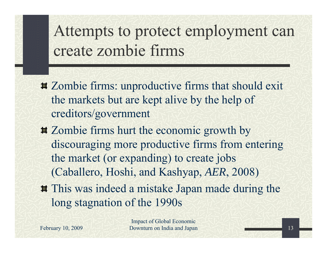## Attempts to protect employment can create zombie firms

- Zombie firms: unproductive firms that should exit the markets but are kept alive by the help of creditors/government
- Zombie firms hurt the economic growth by discouraging more productive firms from entering the market (or expanding) to create jobs (Caballero, Hoshi, and Kashyap, *AER*, 2008)
- $\sharp$  This was indeed a mistake Japan made during the long stagnation of the 1990s

February 10, 2009

Impact of Global Economic Downturn on India and Japan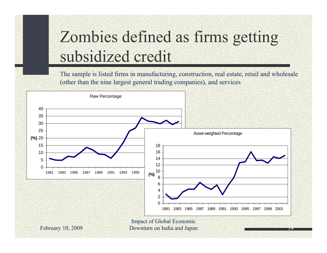## Zombies defined as firms getting subsidized credit

The sample is listed firms in manufacturing, construction, real estate, retail and wholesale (other than the nine largest general trading companies), and services

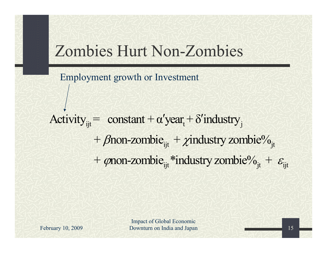### Zombies Hurt Non-Zombies

Employment growth or Investment

Activity<sub>ijt</sub> = constant +  $\alpha'$ year<sub>t</sub> +  $\delta'$  industry<sub>j</sub> +  $\beta$ non-zombie $_{ijt}$  +  $\chi$ industry zombie $\%_{jt}$ +  $\varphi$ non-zombie $_{\rm ijt}$ \*industry zombie $\%_{\rm jt} + \varepsilon_{\rm ijt}$ 

February 10, 2009

Impact of Global Economic Downturn on India and Japan 15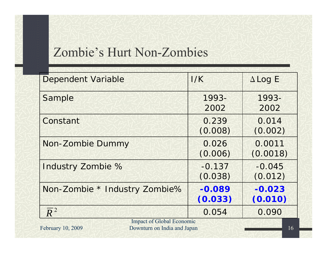#### Zombie's Hurt Non-Zombies

| <b>Dependent Variable</b>                                                            | I/K      | $\Delta$ Log E |
|--------------------------------------------------------------------------------------|----------|----------------|
| Sample                                                                               | 1993-    | 1993-          |
|                                                                                      | 2002     | 2002           |
| Constant                                                                             | 0.239    | 0.014          |
|                                                                                      | (0.008)  | (0.002)        |
| Non-Zombie Dummy                                                                     | 0.026    | 0.0011         |
|                                                                                      | (0.006)  | (0.0018)       |
| Industry Zombie %                                                                    | $-0.137$ | $-0.045$       |
|                                                                                      | (0.038)  | (0.012)        |
| Non-Zombie * Industry Zombie%                                                        | $-0.089$ | $-0.023$       |
|                                                                                      | (0.033)  | (0.010)        |
| $\overline{R}^2$                                                                     | 0.054    | 0.090          |
| <b>Impact of Global Economic</b><br>February 10, 2009<br>Downturn on India and Japan | 16       |                |
|                                                                                      |          |                |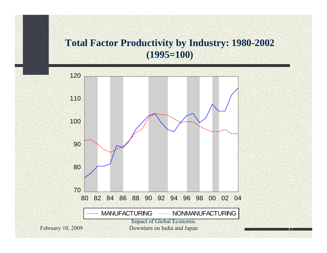#### **Total Factor Productivity by Industry: 1980-2002 (1995=100)**

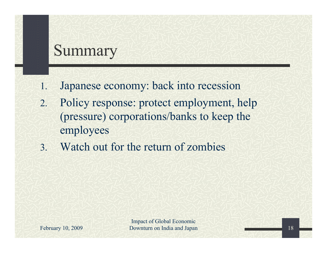#### Summary

- 1. Japanese economy: back into recession
- 2. Policy response: protect employment, help (pressure) corporations/banks to keep the employees
- 3. Watch out for the return of zombies